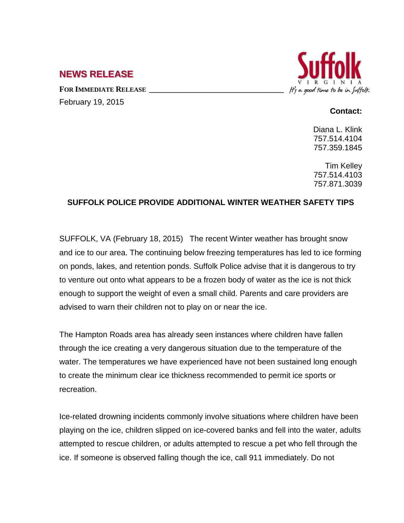## **NEWS RELEASE**

FOR **IMMEDIATE RELEASE** February 19, 2015



## **Contact:**

Diana L. Klink 757.514.4104 757.359.1845

Tim Kelley 757.514.4103 757.871.3039

## **SUFFOLK POLICE PROVIDE ADDITIONAL WINTER WEATHER SAFETY TIPS**

SUFFOLK, VA (February 18, 2015) The recent Winter weather has brought snow and ice to our area. The continuing below freezing temperatures has led to ice forming on ponds, lakes, and retention ponds. Suffolk Police advise that it is dangerous to try to venture out onto what appears to be a frozen body of water as the ice is not thick enough to support the weight of even a small child. Parents and care providers are advised to warn their children not to play on or near the ice.

The Hampton Roads area has already seen instances where children have fallen through the ice creating a very dangerous situation due to the temperature of the water. The temperatures we have experienced have not been sustained long enough to create the minimum clear ice thickness recommended to permit ice sports or recreation.

Ice-related drowning incidents commonly involve situations where children have been playing on the ice, children slipped on ice-covered banks and fell into the water, adults attempted to rescue children, or adults attempted to rescue a pet who fell through the ice. If someone is observed falling though the ice, call 911 immediately. Do not